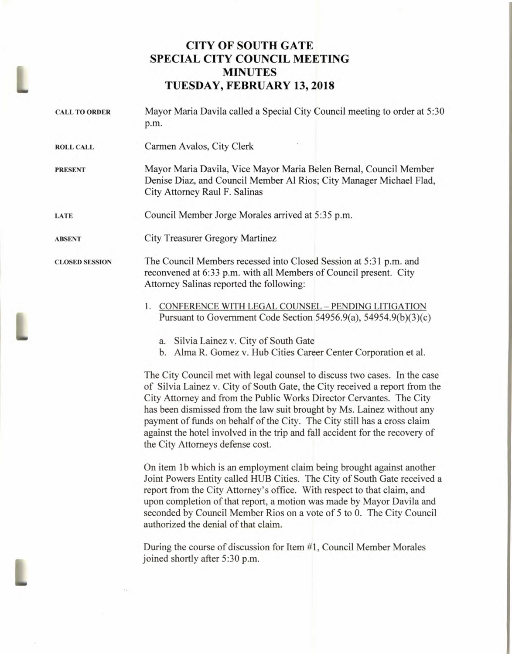## **CITY OF SOUTH GATE SPECIAL CITY COUNCIL MEETING MINUTES TUESDAY, FEBRUARY 13, 2018**

**CALL TO ORDER** Mayor Maria Davila called a Special City Council meeting to order at 5:30 p.m. **ROLL CALL** Carmen Avalos, City Clerk **PRESENT LATE ABSENT CLOSED SESSION**  Mayor Maria Davila, Vice Mayor Maria Belen Bernal, Council Member Denise Diaz, and Council Member Al Rios; City Manager Michael Flad, City Attorney Raul F. Salinas Council Member Jorge Morales arrived at 5:35 p.m. City Treasurer Gregory Martinez The Council Members recessed into Closed Session at 5:31 p.m. and reconvened at 6:33 p.m. with all Members of Council present. City Attorney Salinas reported the following: 1. CONFERENCE WITH LEGAL COUNSEL — PENDING LITIGATION Pursuant to Government Code Section 54956.9(a), 54954.9(b)(3)(c) a. Silvia Lainez v. City of South Gate b. Alma R. Gomez v. Hub Cities Career Center Corporation et al.

> The City Council met with legal counsel to discuss two cases. In the case of Silvia Lainez v. City of South Gate, the City received a report from the City Attorney and from the Public Works Director Cervantes. The City has been dismissed from the law suit brought by Ms. Lainez without any payment of funds on behalf of the City. The City still has a cross claim against the hotel involved in the trip and fall accident for the recovery of the City Attorneys defense cost.

> On item lb which is an employment claim being brought against another Joint Powers Entity called HUB Cities. The City of South Gate received a report from the City Attorney's office. With respect to that claim, and upon completion of that report, a motion was made by Mayor Davila and seconded by Council Member Rios on a vote of 5 to 0. The City Council authorized the denial of that claim.

During the course of discussion for Item #1, Council Member Morales joined shortly after 5:30 p.m.